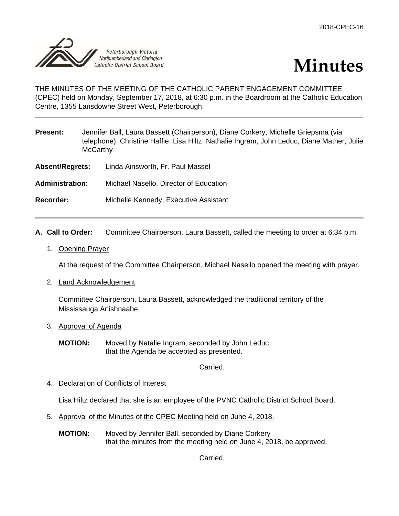



THE MINUTES OF THE MEETING OF THE CATHOLIC PARENT ENGAGEMENT COMMITTEE (CPEC) held on Monday, September 17, 2018, at 6:30 p.m. in the Boardroom at the Catholic Education Centre, 1355 Lansdowne Street West, Peterborough.

| <b>Present:</b>        | Jennifer Ball, Laura Bassett (Chairperson), Diane Corkery, Michelle Griepsma (via<br>telephone), Christine Haffie, Lisa Hiltz, Nathalie Ingram, John Leduc, Diane Mather, Julie<br><b>McCarthy</b> |                                        |
|------------------------|----------------------------------------------------------------------------------------------------------------------------------------------------------------------------------------------------|----------------------------------------|
| <b>Absent/Regrets:</b> |                                                                                                                                                                                                    | Linda Ainsworth, Fr. Paul Massel       |
| <b>Administration:</b> |                                                                                                                                                                                                    | Michael Nasello, Director of Education |
| Recorder:              |                                                                                                                                                                                                    | Michelle Kennedy, Executive Assistant  |

- **A. Call to Order:** Committee Chairperson, Laura Bassett, called the meeting to order at 6:34 p.m.
	- 1. Opening Prayer

At the request of the Committee Chairperson, Michael Nasello opened the meeting with prayer.

2. Land Acknowledgement

Committee Chairperson, Laura Bassett, acknowledged the traditional territory of the Mississauga Anishnaabe.

3. Approval of Agenda

**MOTION:** Moved by Natalie Ingram, seconded by John Leduc that the Agenda be accepted as presented.

Carried.

4. Declaration of Conflicts of Interest

Lisa Hiltz declared that she is an employee of the PVNC Catholic District School Board.

- 5. Approval of the Minutes of the CPEC Meeting held on June 4, 2018.
	- **MOTION:** Moved by Jennifer Ball, seconded by Diane Corkery that the minutes from the meeting held on June 4, 2018, be approved.

Carried.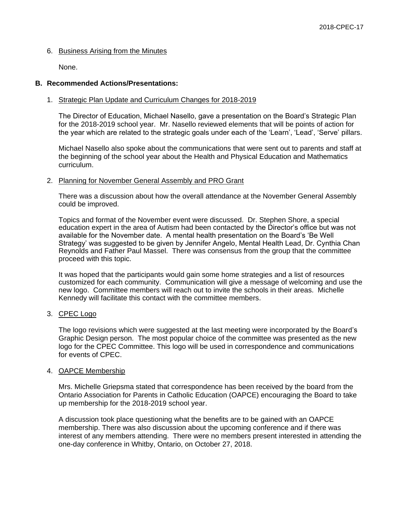# 6. Business Arising from the Minutes

None.

### **B. Recommended Actions/Presentations:**

### 1. Strategic Plan Update and Curriculum Changes for 2018-2019

The Director of Education, Michael Nasello, gave a presentation on the Board's Strategic Plan for the 2018-2019 school year. Mr. Nasello reviewed elements that will be points of action for the year which are related to the strategic goals under each of the 'Learn', 'Lead', 'Serve' pillars.

Michael Nasello also spoke about the communications that were sent out to parents and staff at the beginning of the school year about the Health and Physical Education and Mathematics curriculum.

### 2. Planning for November General Assembly and PRO Grant

There was a discussion about how the overall attendance at the November General Assembly could be improved.

Topics and format of the November event were discussed. Dr. Stephen Shore, a special education expert in the area of Autism had been contacted by the Director's office but was not available for the November date. A mental health presentation on the Board's 'Be Well Strategy' was suggested to be given by Jennifer Angelo, Mental Health Lead, Dr. Cynthia Chan Reynolds and Father Paul Massel. There was consensus from the group that the committee proceed with this topic.

It was hoped that the participants would gain some home strategies and a list of resources customized for each community. Communication will give a message of welcoming and use the new logo. Committee members will reach out to invite the schools in their areas. Michelle Kennedy will facilitate this contact with the committee members.

### 3. CPEC Logo

The logo revisions which were suggested at the last meeting were incorporated by the Board's Graphic Design person. The most popular choice of the committee was presented as the new logo for the CPEC Committee. This logo will be used in correspondence and communications for events of CPEC.

### 4. OAPCE Membership

Mrs. Michelle Griepsma stated that correspondence has been received by the board from the Ontario Association for Parents in Catholic Education (OAPCE) encouraging the Board to take up membership for the 2018-2019 school year.

A discussion took place questioning what the benefits are to be gained with an OAPCE membership. There was also discussion about the upcoming conference and if there was interest of any members attending. There were no members present interested in attending the one-day conference in Whitby, Ontario, on October 27, 2018.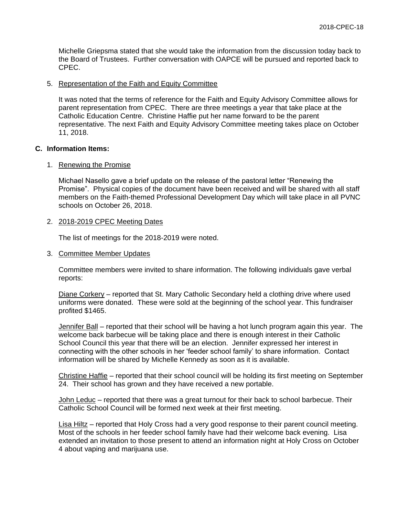Michelle Griepsma stated that she would take the information from the discussion today back to the Board of Trustees. Further conversation with OAPCE will be pursued and reported back to CPEC.

#### 5. Representation of the Faith and Equity Committee

It was noted that the terms of reference for the Faith and Equity Advisory Committee allows for parent representation from CPEC. There are three meetings a year that take place at the Catholic Education Centre. Christine Haffie put her name forward to be the parent representative. The next Faith and Equity Advisory Committee meeting takes place on October 11, 2018.

#### **C. Information Items:**

#### 1. Renewing the Promise

Michael Nasello gave a brief update on the release of the pastoral letter "Renewing the Promise". Physical copies of the document have been received and will be shared with all staff members on the Faith-themed Professional Development Day which will take place in all PVNC schools on October 26, 2018.

#### 2. 2018-2019 CPEC Meeting Dates

The list of meetings for the 2018-2019 were noted.

#### 3. Committee Member Updates

Committee members were invited to share information. The following individuals gave verbal reports:

Diane Corkery – reported that St. Mary Catholic Secondary held a clothing drive where used uniforms were donated. These were sold at the beginning of the school year. This fundraiser profited \$1465.

Jennifer Ball – reported that their school will be having a hot lunch program again this year. The welcome back barbecue will be taking place and there is enough interest in their Catholic School Council this year that there will be an election. Jennifer expressed her interest in connecting with the other schools in her 'feeder school family' to share information. Contact information will be shared by Michelle Kennedy as soon as it is available.

Christine Haffie – reported that their school council will be holding its first meeting on September 24. Their school has grown and they have received a new portable.

John Leduc – reported that there was a great turnout for their back to school barbecue. Their Catholic School Council will be formed next week at their first meeting.

Lisa Hiltz – reported that Holy Cross had a very good response to their parent council meeting. Most of the schools in her feeder school family have had their welcome back evening. Lisa extended an invitation to those present to attend an information night at Holy Cross on October 4 about vaping and marijuana use.